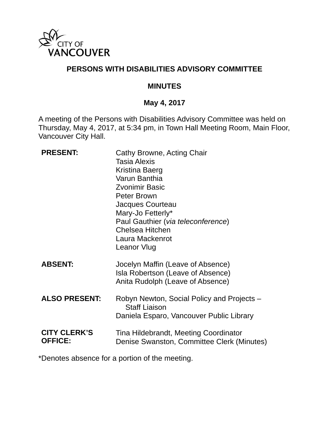

### **PERSONS WITH DISABILITIES ADVISORY COMMITTEE**

### **MINUTES**

# **May 4, 2017**

A meeting of the Persons with Disabilities Advisory Committee was held on Thursday, May 4, 2017, at 5:34 pm, in Town Hall Meeting Room, Main Floor, Vancouver City Hall.

| <b>PRESENT:</b>                       | Cathy Browne, Acting Chair<br><b>Tasia Alexis</b><br>Kristina Baerg<br>Varun Banthia<br><b>Zvonimir Basic</b><br>Peter Brown<br>Jacques Courteau<br>Mary-Jo Fetterly*<br>Paul Gauthier (via teleconference)<br><b>Chelsea Hitchen</b><br>Laura Mackenrot<br>Leanor Vlug |
|---------------------------------------|-------------------------------------------------------------------------------------------------------------------------------------------------------------------------------------------------------------------------------------------------------------------------|
| <b>ABSENT:</b>                        | Jocelyn Maffin (Leave of Absence)<br>Isla Robertson (Leave of Absence)<br>Anita Rudolph (Leave of Absence)                                                                                                                                                              |
| <b>ALSO PRESENT:</b>                  | Robyn Newton, Social Policy and Projects –<br><b>Staff Liaison</b><br>Daniela Esparo, Vancouver Public Library                                                                                                                                                          |
| <b>CITY CLERK'S</b><br><b>OFFICE:</b> | Tina Hildebrandt, Meeting Coordinator<br>Denise Swanston, Committee Clerk (Minutes)                                                                                                                                                                                     |

\*Denotes absence for a portion of the meeting.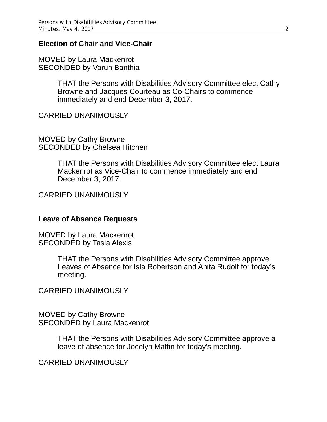#### **Election of Chair and Vice-Chair**

MOVED by Laura Mackenrot SECONDED by Varun Banthia

> THAT the Persons with Disabilities Advisory Committee elect Cathy Browne and Jacques Courteau as Co-Chairs to commence immediately and end December 3, 2017.

CARRIED UNANIMOUSLY

MOVED by Cathy Browne SECONDED by Chelsea Hitchen

> THAT the Persons with Disabilities Advisory Committee elect Laura Mackenrot as Vice-Chair to commence immediately and end December 3, 2017.

CARRIED UNANIMOUSLY

#### **Leave of Absence Requests**

MOVED by Laura Mackenrot SECONDED by Tasia Alexis

> THAT the Persons with Disabilities Advisory Committee approve Leaves of Absence for Isla Robertson and Anita Rudolf for today's meeting.

CARRIED UNANIMOUSLY

MOVED by Cathy Browne SECONDED by Laura Mackenrot

> THAT the Persons with Disabilities Advisory Committee approve a leave of absence for Jocelyn Maffin for today's meeting.

CARRIED UNANIMOUSLY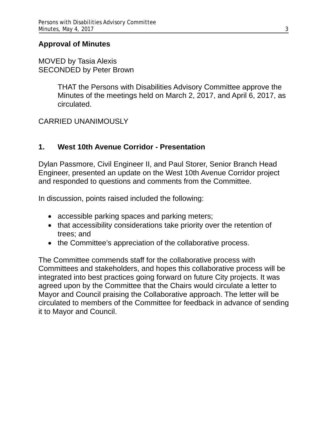### **Approval of Minutes**

#### MOVED by Tasia Alexis SECONDED by Peter Brown

THAT the Persons with Disabilities Advisory Committee approve the Minutes of the meetings held on March 2, 2017, and April 6, 2017, as circulated.

### CARRIED UNANIMOUSLY

### **1. West 10th Avenue Corridor - Presentation**

Dylan Passmore, Civil Engineer II, and Paul Storer, Senior Branch Head Engineer, presented an update on the West 10th Avenue Corridor project and responded to questions and comments from the Committee.

In discussion, points raised included the following:

- accessible parking spaces and parking meters;
- that accessibility considerations take priority over the retention of trees; and
- the Committee's appreciation of the collaborative process.

The Committee commends staff for the collaborative process with Committees and stakeholders, and hopes this collaborative process will be integrated into best practices going forward on future City projects. It was agreed upon by the Committee that the Chairs would circulate a letter to Mayor and Council praising the Collaborative approach. The letter will be circulated to members of the Committee for feedback in advance of sending it to Mayor and Council.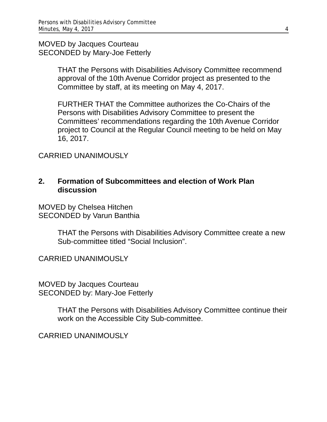MOVED by Jacques Courteau SECONDED by Mary-Joe Fetterly

> THAT the Persons with Disabilities Advisory Committee recommend approval of the 10th Avenue Corridor project as presented to the Committee by staff, at its meeting on May 4, 2017.

> FURTHER THAT the Committee authorizes the Co-Chairs of the Persons with Disabilities Advisory Committee to present the Committees' recommendations regarding the 10th Avenue Corridor project to Council at the Regular Council meeting to be held on May 16, 2017.

CARRIED UNANIMOUSLY

### **2. Formation of Subcommittees and election of Work Plan discussion**

MOVED by Chelsea Hitchen SECONDED by Varun Banthia

> THAT the Persons with Disabilities Advisory Committee create a new Sub-committee titled "Social Inclusion".

CARRIED UNANIMOUSLY

MOVED by Jacques Courteau SECONDED by: Mary-Joe Fetterly

> THAT the Persons with Disabilities Advisory Committee continue their work on the Accessible City Sub-committee.

CARRIED UNANIMOUSLY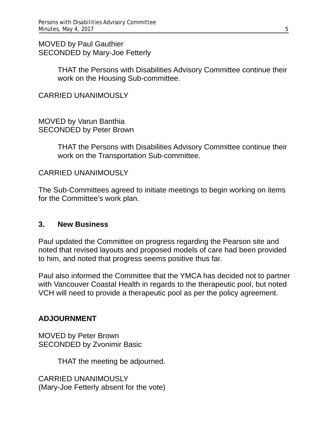MOVED by Paul Gauthier SECONDED by Mary-Joe Fetterly

> THAT the Persons with Disabilities Advisory Committee continue their work on the Housing Sub-committee.

CARRIED UNANIMOUSLY

MOVED by Varun Banthia SECONDED by Peter Brown

> THAT the Persons with Disabilities Advisory Committee continue their work on the Transportation Sub-committee.

CARRIED UNANIMOUSLY

The Sub-Committees agreed to initiate meetings to begin working on items for the Committee's work plan.

### **3. New Business**

Paul updated the Committee on progress regarding the Pearson site and noted that revised layouts and proposed models of care had been provided to him, and noted that progress seems positive thus far.

Paul also informed the Committee that the YMCA has decided not to partner with Vancouver Coastal Health in regards to the therapeutic pool, but noted VCH will need to provide a therapeutic pool as per the policy agreement.

### **ADJOURNMENT**

MOVED by Peter Brown SECONDED by Zvonimir Basic

THAT the meeting be adjourned.

CARRIED UNANIMOUSLY (Mary-Joe Fetterly absent for the vote)